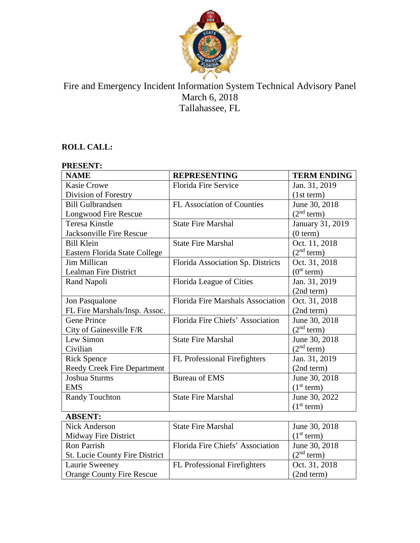

# Fire and Emergency Incident Information System Technical Advisory Panel March 6, 2018 Tallahassee, FL

## **ROLL CALL:**

Orange County Fire Rescue

| <b>PRESENT:</b>                       |                                   |                        |
|---------------------------------------|-----------------------------------|------------------------|
| <b>NAME</b>                           | <b>REPRESENTING</b>               | <b>TERM ENDING</b>     |
| <b>Kasie Crowe</b>                    | Florida Fire Service              | Jan. 31, 2019          |
| Division of Forestry                  |                                   | (1st term)             |
| <b>Bill Gulbrandsen</b>               | <b>FL Association of Counties</b> | June 30, 2018          |
| Longwood Fire Rescue                  |                                   | (2 <sup>nd</sup> term) |
| <b>Teresa Kinstle</b>                 | <b>State Fire Marshal</b>         | January 31, 2019       |
| Jacksonville Fire Rescue              |                                   | (0 term)               |
| <b>Bill Klein</b>                     | <b>State Fire Marshal</b>         | Oct. 11, 2018          |
| Eastern Florida State College         |                                   | (2 <sup>nd</sup> term) |
| <b>Jim Millican</b>                   | Florida Association Sp. Districts | Oct. 31, 2018          |
| Lealman Fire District                 |                                   | (0 <sup>st</sup> term) |
| Rand Napoli                           | Florida League of Cities          | Jan. 31, 2019          |
|                                       |                                   | (2nd term)             |
| Jon Pasqualone                        | Florida Fire Marshals Association | Oct. 31, 2018          |
| FL Fire Marshals/Insp. Assoc.         |                                   | (2nd term)             |
| <b>Gene Prince</b>                    | Florida Fire Chiefs' Association  | June 30, 2018          |
| City of Gainesville F/R               |                                   | (2 <sup>nd</sup> term) |
| Lew Simon                             | <b>State Fire Marshal</b>         | June 30, 2018          |
| Civilian                              |                                   | (2 <sup>nd</sup> term) |
| <b>Rick Spence</b>                    | FL Professional Firefighters      | Jan. 31, 2019          |
| <b>Reedy Creek Fire Department</b>    |                                   | (2nd term)             |
| Joshua Sturms                         | <b>Bureau of EMS</b>              | June 30, 2018          |
| <b>EMS</b>                            |                                   | (1 <sup>st</sup> term) |
| <b>Randy Touchton</b>                 | <b>State Fire Marshal</b>         | June 30, 2022          |
|                                       |                                   | (1 <sup>st</sup> term) |
| <b>ABSENT:</b>                        |                                   |                        |
| <b>Nick Anderson</b>                  | <b>State Fire Marshal</b>         | June 30, 2018          |
| Midway Fire District                  |                                   | (1 <sup>st</sup> term) |
| <b>Ron Parrish</b>                    | Florida Fire Chiefs' Association  | June 30, 2018          |
| <b>St. Lucie County Fire District</b> |                                   | (2 <sup>nd</sup> term) |
| Laurie Sweeney                        | FL Professional Firefighters      | Oct. 31, 2018          |

(2nd term)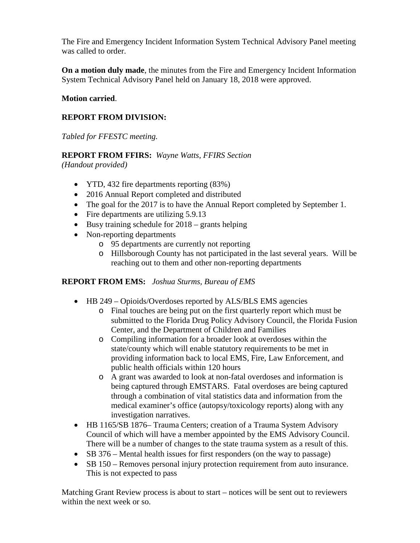The Fire and Emergency Incident Information System Technical Advisory Panel meeting was called to order.

**On a motion duly made**, the minutes from the Fire and Emergency Incident Information System Technical Advisory Panel held on January 18, 2018 were approved.

#### **Motion carried**.

### **REPORT FROM DIVISION:**

*Tabled for FFESTC meeting.*

#### **REPORT FROM FFIRS:** *Wayne Watts, FFIRS Section*

*(Handout provided)*

- YTD, 432 fire departments reporting  $(83%)$
- 2016 Annual Report completed and distributed
- The goal for the 2017 is to have the Annual Report completed by September 1.
- Fire departments are utilizing 5.9.13
- Busy training schedule for  $2018 -$  grants helping
- Non-reporting departments
	- o 95 departments are currently not reporting
	- o Hillsborough County has not participated in the last several years. Will be reaching out to them and other non-reporting departments

#### **REPORT FROM EMS:** *Joshua Sturms, Bureau of EMS*

- HB 249 Opioids/Overdoses reported by ALS/BLS EMS agencies
	- o Final touches are being put on the first quarterly report which must be submitted to the Florida Drug Policy Advisory Council, the Florida Fusion Center, and the Department of Children and Families
	- o Compiling information for a broader look at overdoses within the state/county which will enable statutory requirements to be met in providing information back to local EMS, Fire, Law Enforcement, and public health officials within 120 hours
	- o A grant was awarded to look at non-fatal overdoses and information is being captured through EMSTARS. Fatal overdoses are being captured through a combination of vital statistics data and information from the medical examiner's office (autopsy/toxicology reports) along with any investigation narratives.
- HB 1165/SB 1876– Trauma Centers; creation of a Trauma System Advisory Council of which will have a member appointed by the EMS Advisory Council. There will be a number of changes to the state trauma system as a result of this.
- SB 376 Mental health issues for first responders (on the way to passage)
- SB 150 Removes personal injury protection requirement from auto insurance. This is not expected to pass

Matching Grant Review process is about to start – notices will be sent out to reviewers within the next week or so.